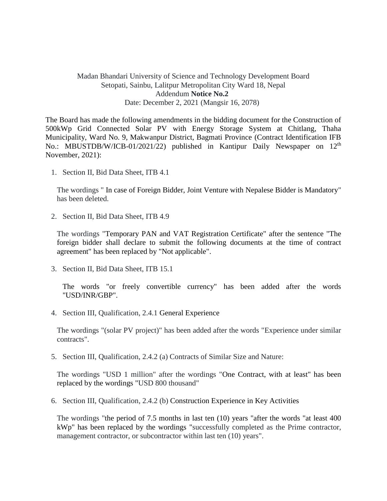## Madan Bhandari University of Science and Technology Development Board Setopati, Sainbu, Lalitpur Metropolitan City Ward 18, Nepal Addendum **Notice No.2** Date: December 2, 2021 (Mangsir 16, 2078)

The Board has made the following amendments in the bidding document for the Construction of 500kWp Grid Connected Solar PV with Energy Storage System at Chitlang, Thaha Municipality, Ward No. 9, Makwanpur District, Bagmati Province (Contract Identification IFB No.: MBUSTDB/W/ICB-01/2021/22) published in Kantipur Daily Newspaper on 12<sup>th</sup> November, 2021):

1. Section II, Bid Data Sheet, ITB 4.1

The wordings " In case of Foreign Bidder, Joint Venture with Nepalese Bidder is Mandatory" has been deleted.

2. Section II, Bid Data Sheet, ITB 4.9

The wordings "Temporary PAN and VAT Registration Certificate" after the sentence "The foreign bidder shall declare to submit the following documents at the time of contract agreement" has been replaced by "Not applicable".

3. Section II, Bid Data Sheet, ITB 15.1

The words "or freely convertible currency" has been added after the words "USD/INR/GBP".

4. Section III, Qualification, 2.4.1 General Experience

The wordings "(solar PV project)" has been added after the words "Experience under similar contracts".

5. Section III, Qualification, 2.4.2 (a) Contracts of Similar Size and Nature:

The wordings "USD 1 million" after the wordings "One Contract, with at least" has been replaced by the wordings "USD 800 thousand"

6. Section III, Qualification, 2.4.2 (b) Construction Experience in Key Activities

The wordings "the period of 7.5 months in last ten (10) years "after the words "at least 400 kWp" has been replaced by the wordings "successfully completed as the Prime contractor, management contractor, or subcontractor within last ten (10) years".